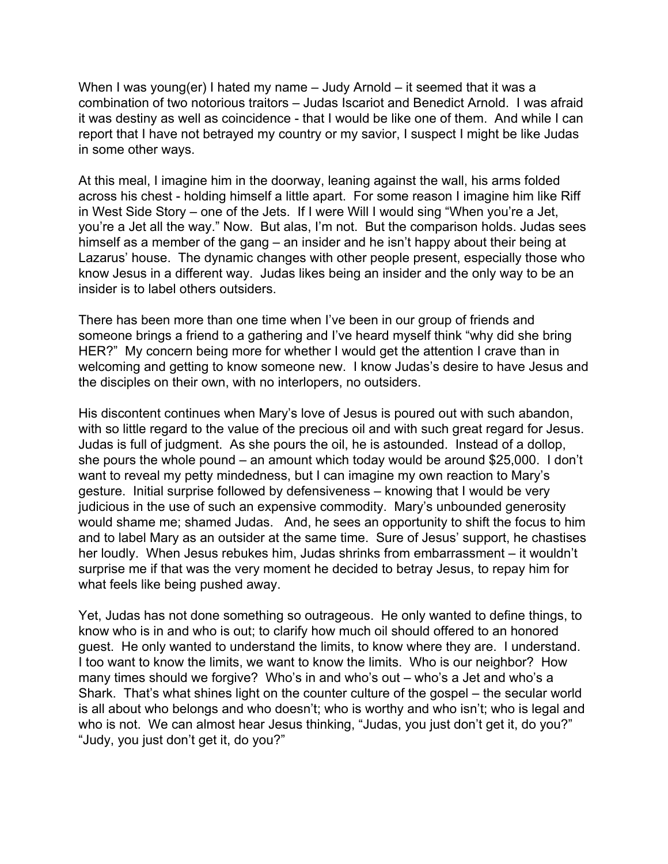When I was young(er) I hated my name – Judy Arnold – it seemed that it was a combination of two notorious traitors – Judas Iscariot and Benedict Arnold. I was afraid it was destiny as well as coincidence - that I would be like one of them. And while I can report that I have not betrayed my country or my savior, I suspect I might be like Judas in some other ways.

At this meal, I imagine him in the doorway, leaning against the wall, his arms folded across his chest - holding himself a little apart. For some reason I imagine him like Riff in West Side Story – one of the Jets. If I were Will I would sing "When you're a Jet, you're a Jet all the way." Now. But alas, I'm not. But the comparison holds. Judas sees himself as a member of the gang – an insider and he isn't happy about their being at Lazarus' house. The dynamic changes with other people present, especially those who know Jesus in a different way. Judas likes being an insider and the only way to be an insider is to label others outsiders.

There has been more than one time when I've been in our group of friends and someone brings a friend to a gathering and I've heard myself think "why did she bring HER?" My concern being more for whether I would get the attention I crave than in welcoming and getting to know someone new. I know Judas's desire to have Jesus and the disciples on their own, with no interlopers, no outsiders.

His discontent continues when Mary's love of Jesus is poured out with such abandon, with so little regard to the value of the precious oil and with such great regard for Jesus. Judas is full of judgment. As she pours the oil, he is astounded. Instead of a dollop, she pours the whole pound – an amount which today would be around \$25,000. I don't want to reveal my petty mindedness, but I can imagine my own reaction to Mary's gesture. Initial surprise followed by defensiveness – knowing that I would be very judicious in the use of such an expensive commodity. Mary's unbounded generosity would shame me; shamed Judas. And, he sees an opportunity to shift the focus to him and to label Mary as an outsider at the same time. Sure of Jesus' support, he chastises her loudly. When Jesus rebukes him, Judas shrinks from embarrassment – it wouldn't surprise me if that was the very moment he decided to betray Jesus, to repay him for what feels like being pushed away.

Yet, Judas has not done something so outrageous. He only wanted to define things, to know who is in and who is out; to clarify how much oil should offered to an honored guest. He only wanted to understand the limits, to know where they are. I understand. I too want to know the limits, we want to know the limits. Who is our neighbor? How many times should we forgive? Who's in and who's out – who's a Jet and who's a Shark. That's what shines light on the counter culture of the gospel – the secular world is all about who belongs and who doesn't; who is worthy and who isn't; who is legal and who is not. We can almost hear Jesus thinking, "Judas, you just don't get it, do you?" "Judy, you just don't get it, do you?"